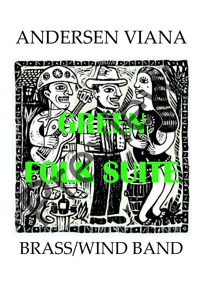## ANDERSEN VIANA



## BRASS/WIND BAND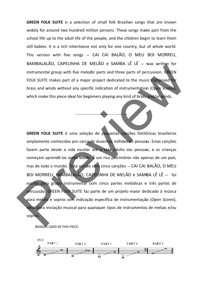GREEN FOLK SUITE is a selection of small folk Brazilian songs that are known widely for around two hundred million persons. These songs make part from the school life up to the adult life of the people, and the children begin to learn them still babies. It is a rich inheritance not only for one country, but of whole world. This version with five songs — CAI CAI BALÃO, O MEU BOI MORREU, BAMBALALÃO, CAPELINHA DE MELÃO e SAMBA LÊ LÊ — was written for instrumental group with five melodic parts and three parts of percussion. GREEN FOLK SUITE makes part of a major project dedicated to the music composed for brass and winds without any specific indication of instrumentation (Open Scores), which make this piece ideal for beginners playing any kind of brass and/or winds.

…………………

………………

………………

GREEN FOLK SUITE é uma seleção de pequenas canções folclóricas brasileiras amplamente conhecidas por cerca de duzentos milhões de pessoas. Estas canções fazem parte desde a vida escolar até a vida adulta das pessoas, e as crianças começam aprendê-las ainda bebês. É um rico patrimônio não apenas de um país, mas de todo o mundo. Esta versão com cinco canções – CAI CAI BALÃO, O MEU BOI MORREU, BAMBALALÃO, CAPELINHA DE MELÃO e SAMBA LÊ LÊ — foi escrita para grupo instrumental com cinco partes melódicas e três partes de percussão. GREEN FOLK SUITE faz parte de um projeto maior dedicado à música para metais e sopros sem indicação específica de instrumentação (Open Scores), ideal para iniciação musical para quaisquer tipos de instrumentos de metais e/ou sopros. BRINTMENTALIZED CONTRACT LETTER CONTRACT LETTER AND THE CONTRACT CONTRACT CONTRACT CONTRACT CONTRACT CONTRACT CONTRACT CONTRACT CONTRACT CONTRACT CONTRACT CONTRACT CONTRACT CONTRACT CONTRACT CONTRACT CONTRACT CONTRACT CONT

RANGES USED IN THIS PIECE:

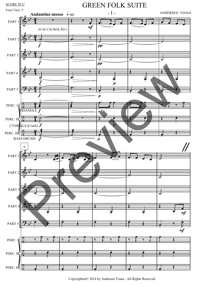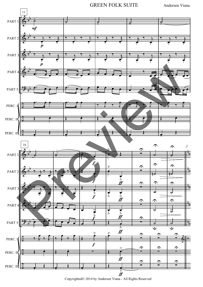

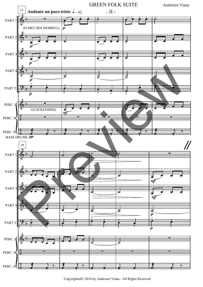

Copyrighted© 2014 by Andersen Viana - All Rights Reserved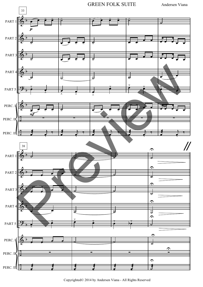GREEN FOLK SUITE Andersen Viana

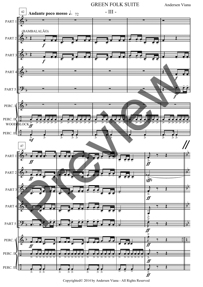

Copyrighted© 2014 by Andersen Viana - All Rights Reserved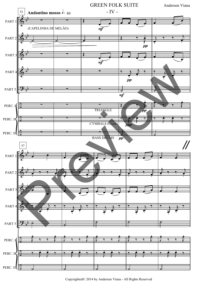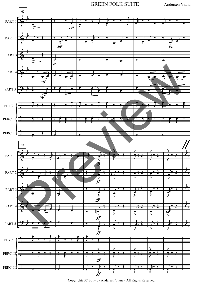GREEN FOLK SUITE Andersen Viana

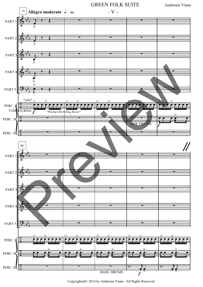

Copyrighted© 2014 by Andersen Viana - All Rights Reserved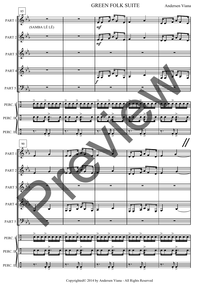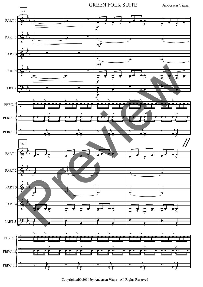